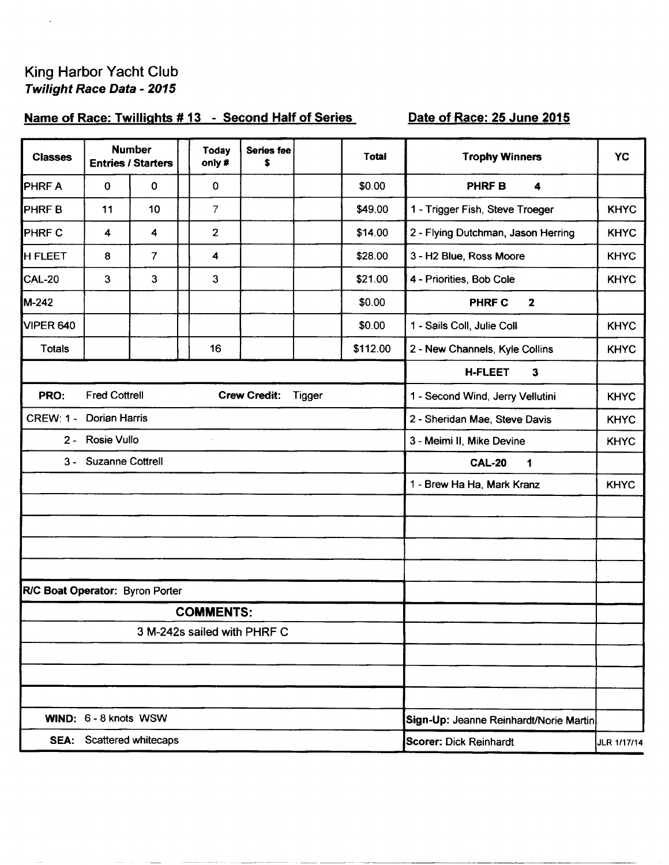## King Harbor Yacht Club Twilight Race Data - 2015

 $\zeta^{(1)}$ 

## Name of Race: Twillights #13 - Second Half of Series

## Date of Race: 25 June 2015

| <b>Classes</b>                  |                       | <b>Number</b><br><b>Entries / Starters</b> | Today<br>only #  | Series fee<br>\$            |        | Total    | <b>Trophy Winners</b>                    | <b>YC</b>   |  |  |
|---------------------------------|-----------------------|--------------------------------------------|------------------|-----------------------------|--------|----------|------------------------------------------|-------------|--|--|
| <b>PHRFA</b>                    | 0                     | 0                                          | 0                |                             |        | \$0.00   | <b>PHRF B</b><br>$\overline{\mathbf{4}}$ |             |  |  |
| <b>PHRFB</b>                    | 11                    | 10                                         | $\overline{7}$   |                             |        | \$49.00  | 1 - Trigger Fish, Steve Troeger          | <b>KHYC</b> |  |  |
| <b>PHRF C</b>                   | 4                     | 4                                          | $\overline{2}$   |                             |        | \$14.00  | 2 - Flying Dutchman, Jason Herring       | <b>KHYC</b> |  |  |
| <b>H FLEET</b>                  | 8                     | $\overline{7}$                             | 4                |                             |        | \$28.00  | 3 - H2 Blue, Ross Moore                  | <b>KHYC</b> |  |  |
| CAL-20                          | 3                     | 3                                          | 3                |                             |        | \$21.00  | 4 - Priorities, Bob Cole                 | <b>KHYC</b> |  |  |
| M-242                           |                       |                                            |                  |                             |        | \$0.00   | <b>PHRF C</b><br>$\mathbf{2}$            |             |  |  |
| VIPER 640                       |                       |                                            |                  |                             |        | \$0.00   | 1 - Sails Coll, Julie Coll               | <b>KHYC</b> |  |  |
| <b>Totals</b>                   |                       |                                            | 16               |                             |        | \$112.00 | 2 - New Channels, Kyle Collins           | <b>KHYC</b> |  |  |
|                                 |                       |                                            |                  |                             |        |          | <b>H-FLEET</b><br>$\mathbf{3}$           |             |  |  |
| PRO:                            | <b>Fred Cottrell</b>  |                                            |                  | <b>Crew Credit:</b>         | Tigger |          | 1 - Second Wind, Jerry Vellutini         | <b>KHYC</b> |  |  |
| <b>CREW: 1 -</b>                | <b>Dorian Harris</b>  |                                            |                  |                             |        |          | 2 - Sheridan Mae, Steve Davis            | <b>KHYC</b> |  |  |
|                                 | 2 - Rosie Vullo       |                                            |                  |                             |        |          | 3 - Meimi II, Mike Devine                | <b>KHYC</b> |  |  |
|                                 | 3 - Suzanne Cottrell  |                                            |                  |                             |        |          | <b>CAL-20</b><br>1                       |             |  |  |
|                                 |                       |                                            |                  |                             |        |          | 1 - Brew Ha Ha, Mark Kranz               | <b>KHYC</b> |  |  |
|                                 |                       |                                            |                  |                             |        |          |                                          |             |  |  |
|                                 |                       |                                            |                  |                             |        |          |                                          |             |  |  |
|                                 |                       |                                            |                  |                             |        |          |                                          |             |  |  |
|                                 |                       |                                            |                  |                             |        |          |                                          |             |  |  |
| R/C Boat Operator: Byron Porter |                       |                                            |                  |                             |        |          |                                          |             |  |  |
|                                 |                       |                                            | <b>COMMENTS:</b> |                             |        |          |                                          |             |  |  |
|                                 |                       |                                            |                  | 3 M-242s sailed with PHRF C |        |          |                                          |             |  |  |
|                                 |                       |                                            |                  |                             |        |          |                                          |             |  |  |
|                                 |                       |                                            |                  |                             |        |          |                                          |             |  |  |
|                                 | WIND: 6 - 8 knots WSW |                                            |                  |                             |        |          | Sign-Up: Jeanne Reinhardt/Norie Martin   |             |  |  |
|                                 |                       | <b>SEA:</b> Scattered whitecaps            |                  |                             |        |          | <b>Scorer: Dick Reinhardt</b>            | JLR 1/17/14 |  |  |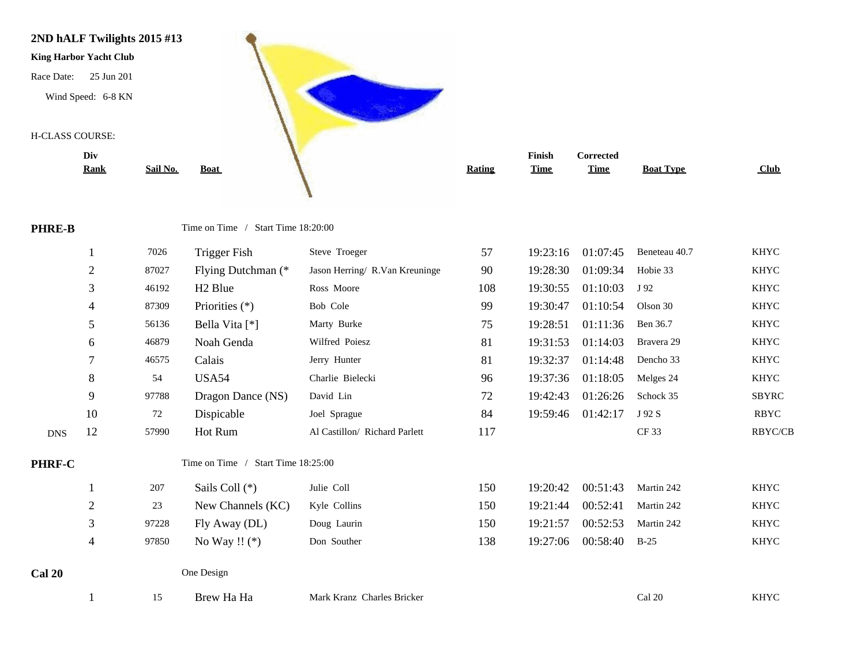

|               | Div<br><b>Rank</b> | Sail No.                           | <b>Boat</b>                        |                                | <b>Rating</b> | Finish<br><b>Time</b> | <b>Corrected</b><br><b>Time</b> | <b>Boat Type</b> | Club         |
|---------------|--------------------|------------------------------------|------------------------------------|--------------------------------|---------------|-----------------------|---------------------------------|------------------|--------------|
| <b>PHRE-B</b> |                    | Time on Time / Start Time 18:20:00 |                                    |                                |               |                       |                                 |                  |              |
|               |                    | 7026                               | <b>Trigger Fish</b>                | Steve Troeger                  | 57            | 19:23:16              | 01:07:45                        | Beneteau 40.7    | <b>KHYC</b>  |
|               | $\overline{2}$     | 87027                              | Flying Dutchman (*                 | Jason Herring/ R.Van Kreuninge | 90            | 19:28:30              | 01:09:34                        | Hobie 33         | <b>KHYC</b>  |
|               | 3                  | 46192                              | H <sub>2</sub> Blue                | Ross Moore                     | 108           | 19:30:55              | 01:10:03                        | J 92             | <b>KHYC</b>  |
|               | 4                  | 87309                              | Priorities $(*)$                   | Bob Cole                       | 99            | 19:30:47              | 01:10:54                        | Olson 30         | <b>KHYC</b>  |
|               | 5                  | 56136                              | Bella Vita [*]                     | Marty Burke                    | 75            | 19:28:51              | 01:11:36                        | Ben 36.7         | <b>KHYC</b>  |
|               | 6                  | 46879                              | Noah Genda                         | Wilfred Poiesz                 | 81            | 19:31:53              | 01:14:03                        | Bravera 29       | <b>KHYC</b>  |
|               | 7                  | 46575                              | Calais                             | Jerry Hunter                   | 81            | 19:32:37              | 01:14:48                        | Dencho 33        | <b>KHYC</b>  |
|               | 8                  | 54                                 | <b>USA54</b>                       | Charlie Bielecki               | 96            | 19:37:36              | 01:18:05                        | Melges 24        | <b>KHYC</b>  |
|               | 9                  | 97788                              | Dragon Dance (NS)                  | David Lin                      | 72            | 19:42:43              | 01:26:26                        | Schock 35        | <b>SBYRC</b> |
|               | 10                 | 72                                 | Dispicable                         | Joel Sprague                   | 84            | 19:59:46              | 01:42:17                        | J 92 S           | <b>RBYC</b>  |
| <b>DNS</b>    | 12                 | 57990                              | Hot Rum                            | Al Castillon/ Richard Parlett  | 117           |                       |                                 | CF 33            | RBYC/CB      |
| PHRF-C        |                    |                                    | Time on Time / Start Time 18:25:00 |                                |               |                       |                                 |                  |              |
|               |                    | 207                                | Sails Coll (*)                     | Julie Coll                     | 150           | 19:20:42              | 00:51:43                        | Martin 242       | <b>KHYC</b>  |
|               | $\overline{2}$     | 23                                 | New Channels (KC)                  | Kyle Collins                   | 150           | 19:21:44              | 00:52:41                        | Martin 242       | <b>KHYC</b>  |
|               | 3                  | 97228                              | Fly Away (DL)                      | Doug Laurin                    | 150           | 19:21:57              | 00:52:53                        | Martin 242       | <b>KHYC</b>  |
|               | 4                  | 97850                              | No Way !! $(*)$                    | Don Souther                    | 138           | 19:27:06              | 00:58:40                        | $B-25$           | <b>KHYC</b>  |
| Cal 20        |                    |                                    | One Design                         |                                |               |                       |                                 |                  |              |

1 15 Brew Ha Ha Mark Kranz Charles Bricker Cal 20 Cal 20 KHYC